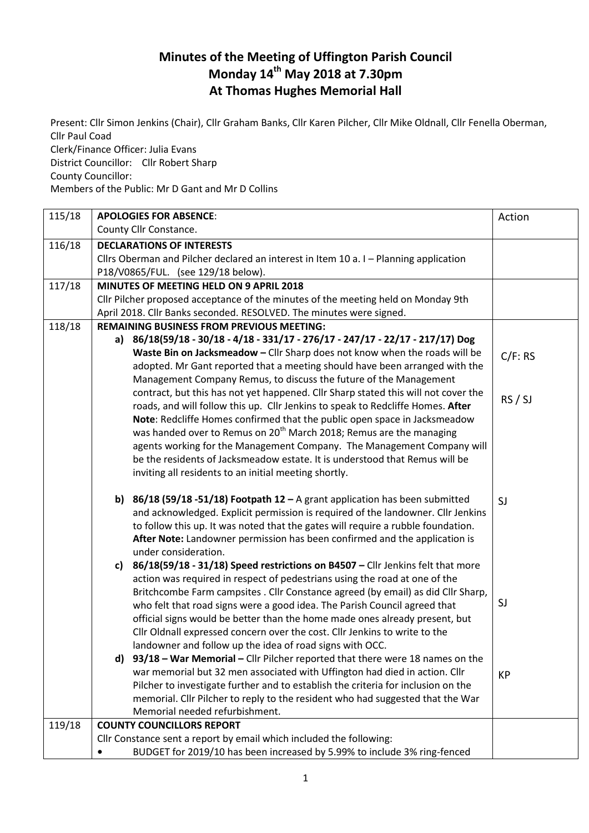## **Minutes of the Meeting of Uffington Parish Council Monday 14th May 2018 at 7.30pm At Thomas Hughes Memorial Hall**

Present: Cllr Simon Jenkins (Chair), Cllr Graham Banks, Cllr Karen Pilcher, Cllr Mike Oldnall, Cllr Fenella Oberman, Cllr Paul Coad Clerk/Finance Officer: Julia Evans District Councillor: Cllr Robert Sharp

County Councillor:

Members of the Public: Mr D Gant and Mr D Collins

| 115/18 | <b>APOLOGIES FOR ABSENCE:</b>                                                                                                          | Action    |
|--------|----------------------------------------------------------------------------------------------------------------------------------------|-----------|
|        | County Cllr Constance.                                                                                                                 |           |
| 116/18 | <b>DECLARATIONS OF INTERESTS</b>                                                                                                       |           |
|        | Cllrs Oberman and Pilcher declared an interest in Item 10 a. I - Planning application                                                  |           |
|        | P18/V0865/FUL. (see 129/18 below).                                                                                                     |           |
| 117/18 | MINUTES OF MEETING HELD ON 9 APRIL 2018                                                                                                |           |
|        | Cllr Pilcher proposed acceptance of the minutes of the meeting held on Monday 9th                                                      |           |
|        | April 2018. Cllr Banks seconded. RESOLVED. The minutes were signed.                                                                    |           |
| 118/18 | <b>REMAINING BUSINESS FROM PREVIOUS MEETING:</b>                                                                                       |           |
|        | a) 86/18(59/18 - 30/18 - 4/18 - 331/17 - 276/17 - 247/17 - 22/17 - 217/17) Dog                                                         |           |
|        | Waste Bin on Jacksmeadow - Cllr Sharp does not know when the roads will be                                                             | C/F: RS   |
|        | adopted. Mr Gant reported that a meeting should have been arranged with the                                                            |           |
|        | Management Company Remus, to discuss the future of the Management                                                                      |           |
|        | contract, but this has not yet happened. Cllr Sharp stated this will not cover the                                                     | RS / SI   |
|        | roads, and will follow this up. Cllr Jenkins to speak to Redcliffe Homes. After                                                        |           |
|        | Note: Redcliffe Homes confirmed that the public open space in Jacksmeadow                                                              |           |
|        | was handed over to Remus on 20 <sup>th</sup> March 2018; Remus are the managing                                                        |           |
|        | agents working for the Management Company. The Management Company will                                                                 |           |
|        | be the residents of Jacksmeadow estate. It is understood that Remus will be                                                            |           |
|        | inviting all residents to an initial meeting shortly.                                                                                  |           |
|        | 86/18 (59/18 -51/18) Footpath 12 - A grant application has been submitted<br>b)                                                        | SJ        |
|        | and acknowledged. Explicit permission is required of the landowner. Cllr Jenkins                                                       |           |
|        | to follow this up. It was noted that the gates will require a rubble foundation.                                                       |           |
|        | After Note: Landowner permission has been confirmed and the application is                                                             |           |
|        | under consideration.                                                                                                                   |           |
|        | 86/18(59/18 - 31/18) Speed restrictions on B4507 - Cllr Jenkins felt that more<br>c)                                                   |           |
|        | action was required in respect of pedestrians using the road at one of the                                                             |           |
|        | Britchcombe Farm campsites . Cllr Constance agreed (by email) as did Cllr Sharp,                                                       | SJ        |
|        | who felt that road signs were a good idea. The Parish Council agreed that                                                              |           |
|        | official signs would be better than the home made ones already present, but                                                            |           |
|        | Cllr Oldnall expressed concern over the cost. Cllr Jenkins to write to the<br>landowner and follow up the idea of road signs with OCC. |           |
|        | d) 93/18 - War Memorial - Cllr Pilcher reported that there were 18 names on the                                                        |           |
|        | war memorial but 32 men associated with Uffington had died in action. Cllr                                                             |           |
|        | Pilcher to investigate further and to establish the criteria for inclusion on the                                                      | <b>KP</b> |
|        | memorial. Cllr Pilcher to reply to the resident who had suggested that the War                                                         |           |
|        | Memorial needed refurbishment.                                                                                                         |           |
| 119/18 | <b>COUNTY COUNCILLORS REPORT</b>                                                                                                       |           |
|        | Cllr Constance sent a report by email which included the following:                                                                    |           |
|        | BUDGET for 2019/10 has been increased by 5.99% to include 3% ring-fenced                                                               |           |
|        |                                                                                                                                        |           |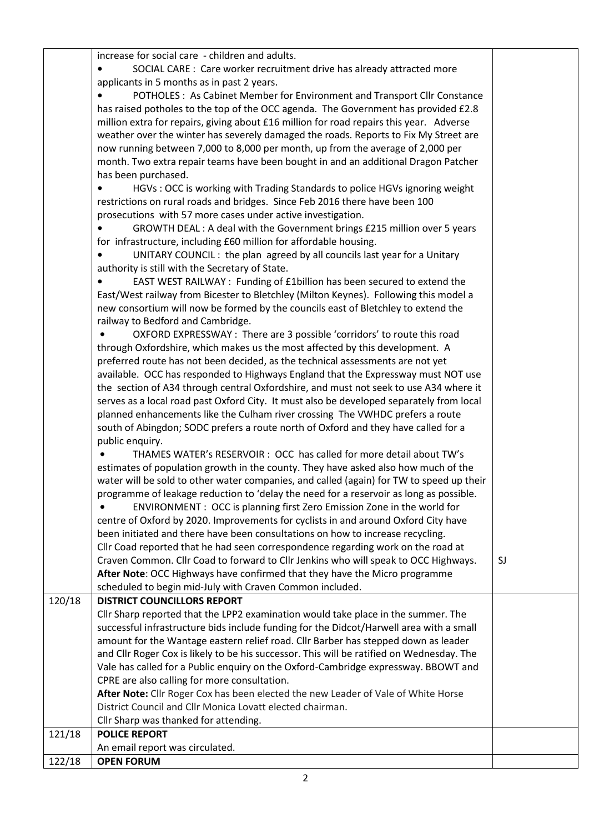increase for social care - children and adults.

|        | increase for social care - children and adults.                                           |    |
|--------|-------------------------------------------------------------------------------------------|----|
|        | SOCIAL CARE : Care worker recruitment drive has already attracted more                    |    |
|        | applicants in 5 months as in past 2 years.                                                |    |
|        | POTHOLES: As Cabinet Member for Environment and Transport Cllr Constance                  |    |
|        | has raised potholes to the top of the OCC agenda. The Government has provided £2.8        |    |
|        | million extra for repairs, giving about £16 million for road repairs this year. Adverse   |    |
|        |                                                                                           |    |
|        | weather over the winter has severely damaged the roads. Reports to Fix My Street are      |    |
|        | now running between 7,000 to 8,000 per month, up from the average of 2,000 per            |    |
|        | month. Two extra repair teams have been bought in and an additional Dragon Patcher        |    |
|        | has been purchased.                                                                       |    |
|        | HGVs: OCC is working with Trading Standards to police HGVs ignoring weight                |    |
|        | restrictions on rural roads and bridges. Since Feb 2016 there have been 100               |    |
|        | prosecutions with 57 more cases under active investigation.                               |    |
|        | GROWTH DEAL : A deal with the Government brings £215 million over 5 years                 |    |
|        | for infrastructure, including £60 million for affordable housing.                         |    |
|        | UNITARY COUNCIL: the plan agreed by all councils last year for a Unitary                  |    |
|        | authority is still with the Secretary of State.                                           |    |
|        | EAST WEST RAILWAY : Funding of £1billion has been secured to extend the                   |    |
|        | East/West railway from Bicester to Bletchley (Milton Keynes). Following this model a      |    |
|        |                                                                                           |    |
|        | new consortium will now be formed by the councils east of Bletchley to extend the         |    |
|        | railway to Bedford and Cambridge.                                                         |    |
|        | OXFORD EXPRESSWAY : There are 3 possible 'corridors' to route this road                   |    |
|        | through Oxfordshire, which makes us the most affected by this development. A              |    |
|        | preferred route has not been decided, as the technical assessments are not yet            |    |
|        | available. OCC has responded to Highways England that the Expressway must NOT use         |    |
|        | the section of A34 through central Oxfordshire, and must not seek to use A34 where it     |    |
|        | serves as a local road past Oxford City. It must also be developed separately from local  |    |
|        | planned enhancements like the Culham river crossing The VWHDC prefers a route             |    |
|        | south of Abingdon; SODC prefers a route north of Oxford and they have called for a        |    |
|        | public enquiry.                                                                           |    |
|        | THAMES WATER's RESERVOIR : OCC has called for more detail about TW's                      |    |
|        | estimates of population growth in the county. They have asked also how much of the        |    |
|        | water will be sold to other water companies, and called (again) for TW to speed up their  |    |
|        | programme of leakage reduction to 'delay the need for a reservoir as long as possible.    |    |
|        |                                                                                           |    |
|        | ENVIRONMENT : OCC is planning first Zero Emission Zone in the world for                   |    |
|        | centre of Oxford by 2020. Improvements for cyclists in and around Oxford City have        |    |
|        | been initiated and there have been consultations on how to increase recycling.            |    |
|        | Cllr Coad reported that he had seen correspondence regarding work on the road at          |    |
|        | Craven Common. Cllr Coad to forward to Cllr Jenkins who will speak to OCC Highways.       | SJ |
|        | After Note: OCC Highways have confirmed that they have the Micro programme                |    |
|        | scheduled to begin mid-July with Craven Common included.                                  |    |
| 120/18 | <b>DISTRICT COUNCILLORS REPORT</b>                                                        |    |
|        | Cllr Sharp reported that the LPP2 examination would take place in the summer. The         |    |
|        | successful infrastructure bids include funding for the Didcot/Harwell area with a small   |    |
|        | amount for the Wantage eastern relief road. Cllr Barber has stepped down as leader        |    |
|        | and Cllr Roger Cox is likely to be his successor. This will be ratified on Wednesday. The |    |
|        | Vale has called for a Public enquiry on the Oxford-Cambridge expressway. BBOWT and        |    |
|        | CPRE are also calling for more consultation.                                              |    |
|        | After Note: Cllr Roger Cox has been elected the new Leader of Vale of White Horse         |    |
|        | District Council and Cllr Monica Lovatt elected chairman.                                 |    |
|        | Cllr Sharp was thanked for attending.                                                     |    |
| 121/18 | <b>POLICE REPORT</b>                                                                      |    |
|        |                                                                                           |    |
|        | An email report was circulated.                                                           |    |
| 122/18 | <b>OPEN FORUM</b>                                                                         |    |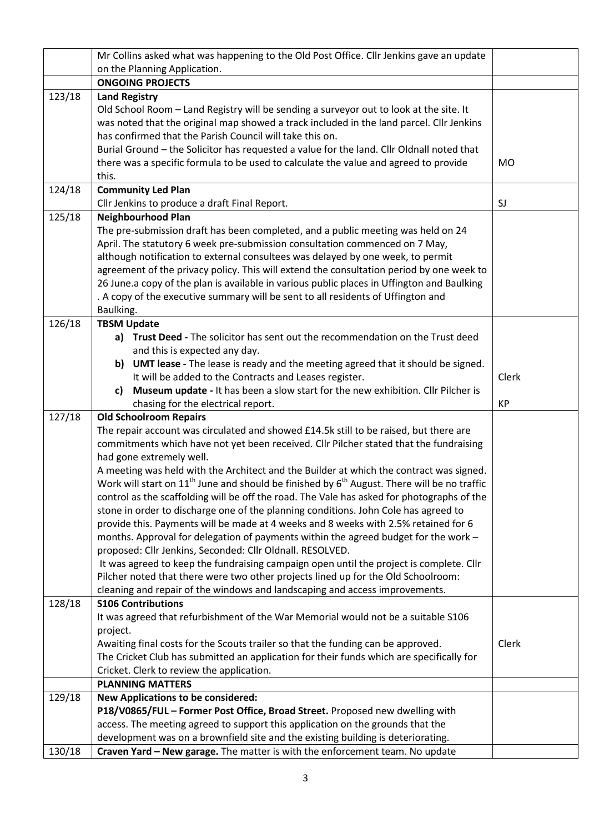|        | Mr Collins asked what was happening to the Old Post Office. Cllr Jenkins gave an update               |           |
|--------|-------------------------------------------------------------------------------------------------------|-----------|
|        | on the Planning Application.                                                                          |           |
|        | <b>ONGOING PROJECTS</b>                                                                               |           |
| 123/18 | <b>Land Registry</b>                                                                                  |           |
|        | Old School Room - Land Registry will be sending a surveyor out to look at the site. It                |           |
|        | was noted that the original map showed a track included in the land parcel. Cllr Jenkins              |           |
|        | has confirmed that the Parish Council will take this on.                                              |           |
|        | Burial Ground - the Solicitor has requested a value for the land. Cllr Oldnall noted that             |           |
|        | there was a specific formula to be used to calculate the value and agreed to provide                  | <b>MO</b> |
|        | this.                                                                                                 |           |
| 124/18 | <b>Community Led Plan</b>                                                                             |           |
|        | Cllr Jenkins to produce a draft Final Report.                                                         | SJ        |
| 125/18 | <b>Neighbourhood Plan</b>                                                                             |           |
|        | The pre-submission draft has been completed, and a public meeting was held on 24                      |           |
|        | April. The statutory 6 week pre-submission consultation commenced on 7 May,                           |           |
|        | although notification to external consultees was delayed by one week, to permit                       |           |
|        | agreement of the privacy policy. This will extend the consultation period by one week to              |           |
|        | 26 June.a copy of the plan is available in various public places in Uffington and Baulking            |           |
|        | . A copy of the executive summary will be sent to all residents of Uffington and                      |           |
|        | Baulking.                                                                                             |           |
| 126/18 | <b>TBSM Update</b>                                                                                    |           |
|        | a) Trust Deed - The solicitor has sent out the recommendation on the Trust deed                       |           |
|        | and this is expected any day.                                                                         |           |
|        | b) UMT lease - The lease is ready and the meeting agreed that it should be signed.                    |           |
|        | It will be added to the Contracts and Leases register.                                                | Clerk     |
|        | Museum update - It has been a slow start for the new exhibition. Cllr Pilcher is<br>c)                |           |
|        | chasing for the electrical report.                                                                    | KP        |
| 127/18 | <b>Old Schoolroom Repairs</b>                                                                         |           |
|        | The repair account was circulated and showed £14.5k still to be raised, but there are                 |           |
|        | commitments which have not yet been received. Cllr Pilcher stated that the fundraising                |           |
|        | had gone extremely well.                                                                              |           |
|        | A meeting was held with the Architect and the Builder at which the contract was signed.               |           |
|        | Work will start on $11^{th}$ June and should be finished by $6^{th}$ August. There will be no traffic |           |
|        | control as the scaffolding will be off the road. The Vale has asked for photographs of the            |           |
|        | stone in order to discharge one of the planning conditions. John Cole has agreed to                   |           |
|        | provide this. Payments will be made at 4 weeks and 8 weeks with 2.5% retained for 6                   |           |
|        | months. Approval for delegation of payments within the agreed budget for the work -                   |           |
|        | proposed: Cllr Jenkins, Seconded: Cllr Oldnall. RESOLVED.                                             |           |
|        | It was agreed to keep the fundraising campaign open until the project is complete. Cllr               |           |
|        | Pilcher noted that there were two other projects lined up for the Old Schoolroom:                     |           |
|        | cleaning and repair of the windows and landscaping and access improvements.                           |           |
| 128/18 | <b>S106 Contributions</b>                                                                             |           |
|        | It was agreed that refurbishment of the War Memorial would not be a suitable S106                     |           |
|        | project.                                                                                              |           |
|        | Awaiting final costs for the Scouts trailer so that the funding can be approved.                      | Clerk     |
|        | The Cricket Club has submitted an application for their funds which are specifically for              |           |
|        | Cricket. Clerk to review the application.                                                             |           |
|        | <b>PLANNING MATTERS</b>                                                                               |           |
| 129/18 | <b>New Applications to be considered:</b>                                                             |           |
|        | P18/V0865/FUL - Former Post Office, Broad Street. Proposed new dwelling with                          |           |
|        | access. The meeting agreed to support this application on the grounds that the                        |           |
|        | development was on a brownfield site and the existing building is deteriorating.                      |           |
| 130/18 | Craven Yard - New garage. The matter is with the enforcement team. No update                          |           |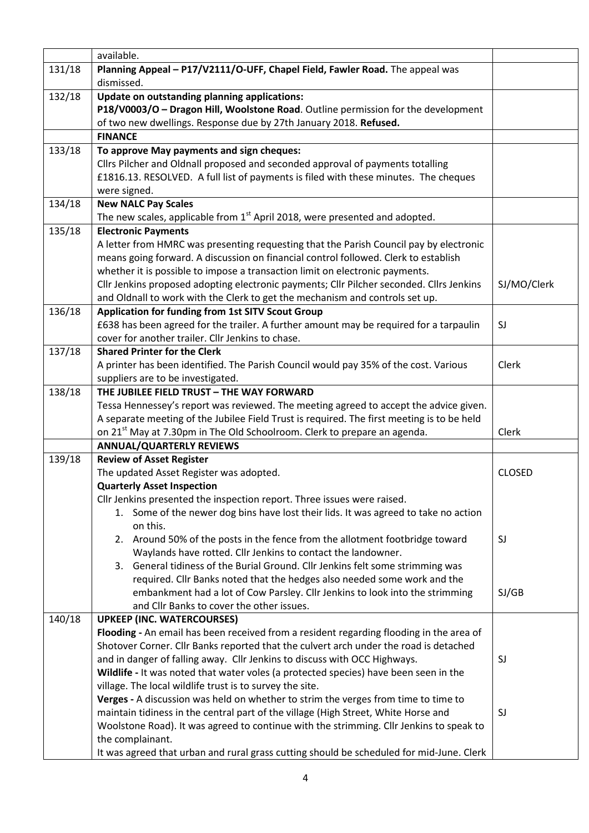|        | available.                                                                                                  |               |
|--------|-------------------------------------------------------------------------------------------------------------|---------------|
| 131/18 | Planning Appeal - P17/V2111/O-UFF, Chapel Field, Fawler Road. The appeal was                                |               |
|        | dismissed.                                                                                                  |               |
| 132/18 | Update on outstanding planning applications:                                                                |               |
|        | P18/V0003/O - Dragon Hill, Woolstone Road. Outline permission for the development                           |               |
|        | of two new dwellings. Response due by 27th January 2018. Refused.                                           |               |
|        | <b>FINANCE</b>                                                                                              |               |
| 133/18 | To approve May payments and sign cheques:                                                                   |               |
|        | Cllrs Pilcher and Oldnall proposed and seconded approval of payments totalling                              |               |
|        | £1816.13. RESOLVED. A full list of payments is filed with these minutes. The cheques                        |               |
|        | were signed.                                                                                                |               |
| 134/18 | <b>New NALC Pay Scales</b>                                                                                  |               |
|        | The new scales, applicable from 1 <sup>st</sup> April 2018, were presented and adopted.                     |               |
| 135/18 | <b>Electronic Payments</b>                                                                                  |               |
|        | A letter from HMRC was presenting requesting that the Parish Council pay by electronic                      |               |
|        | means going forward. A discussion on financial control followed. Clerk to establish                         |               |
|        | whether it is possible to impose a transaction limit on electronic payments.                                |               |
|        | Cllr Jenkins proposed adopting electronic payments; Cllr Pilcher seconded. Cllrs Jenkins                    | SJ/MO/Clerk   |
|        | and Oldnall to work with the Clerk to get the mechanism and controls set up.                                |               |
| 136/18 | Application for funding from 1st SITV Scout Group                                                           |               |
|        | £638 has been agreed for the trailer. A further amount may be required for a tarpaulin                      | SJ            |
|        | cover for another trailer. Cllr Jenkins to chase.                                                           |               |
| 137/18 | <b>Shared Printer for the Clerk</b>                                                                         |               |
|        | A printer has been identified. The Parish Council would pay 35% of the cost. Various                        | Clerk         |
|        | suppliers are to be investigated.                                                                           |               |
| 138/18 | THE JUBILEE FIELD TRUST - THE WAY FORWARD                                                                   |               |
|        | Tessa Hennessey's report was reviewed. The meeting agreed to accept the advice given.                       |               |
|        | A separate meeting of the Jubilee Field Trust is required. The first meeting is to be held                  |               |
|        | on 21 <sup>st</sup> May at 7.30pm in The Old Schoolroom. Clerk to prepare an agenda.                        | Clerk         |
|        | <b>ANNUAL/QUARTERLY REVIEWS</b>                                                                             |               |
| 139/18 | <b>Review of Asset Register</b>                                                                             |               |
|        | The updated Asset Register was adopted.                                                                     | <b>CLOSED</b> |
|        | <b>Quarterly Asset Inspection</b>                                                                           |               |
|        | Cllr Jenkins presented the inspection report. Three issues were raised.                                     |               |
|        | Some of the newer dog bins have lost their lids. It was agreed to take no action<br>1.                      |               |
|        | on this.                                                                                                    |               |
|        | 2. Around 50% of the posts in the fence from the allotment footbridge toward                                | SJ            |
|        | Waylands have rotted. Cllr Jenkins to contact the landowner.                                                |               |
|        | General tidiness of the Burial Ground. Cllr Jenkins felt some strimming was<br>3.                           |               |
|        | required. Cllr Banks noted that the hedges also needed some work and the                                    |               |
|        | embankment had a lot of Cow Parsley. Cllr Jenkins to look into the strimming                                | SI/GB         |
|        | and Cllr Banks to cover the other issues.                                                                   |               |
| 140/18 | <b>UPKEEP (INC. WATERCOURSES)</b>                                                                           |               |
|        | Flooding - An email has been received from a resident regarding flooding in the area of                     |               |
|        | Shotover Corner. Cllr Banks reported that the culvert arch under the road is detached                       |               |
|        | and in danger of falling away. Cllr Jenkins to discuss with OCC Highways.                                   | SJ            |
|        | Wildlife - It was noted that water voles (a protected species) have been seen in the                        |               |
|        | village. The local wildlife trust is to survey the site.                                                    |               |
|        | Verges - A discussion was held on whether to strim the verges from time to time to                          |               |
|        | maintain tidiness in the central part of the village (High Street, White Horse and                          | SJ            |
|        | Woolstone Road). It was agreed to continue with the strimming. Cllr Jenkins to speak to<br>the complainant. |               |
|        | It was agreed that urban and rural grass cutting should be scheduled for mid-June. Clerk                    |               |
|        |                                                                                                             |               |